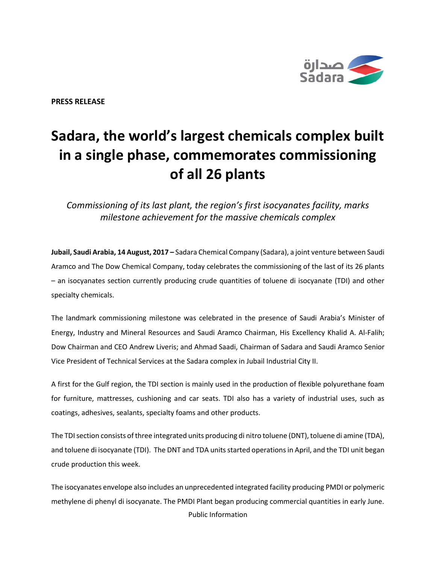

**PRESS RELEASE**

## **Sadara, the world's largest chemicals complex built in a single phase, commemorates commissioning of all 26 plants**

*Commissioning of its last plant, the region's first isocyanates facility, marks milestone achievement for the massive chemicals complex*

**Jubail, Saudi Arabia, 14 August, 2017 –** Sadara Chemical Company (Sadara), a joint venture between Saudi Aramco and The Dow Chemical Company, today celebrates the commissioning of the last of its 26 plants – an isocyanates section currently producing crude quantities of toluene di isocyanate (TDI) and other specialty chemicals.

The landmark commissioning milestone was celebrated in the presence of Saudi Arabia's Minister of Energy, Industry and Mineral Resources and Saudi Aramco Chairman, His Excellency Khalid A. Al-Falih; Dow Chairman and CEO Andrew Liveris; and Ahmad Saadi, Chairman of Sadara and Saudi Aramco Senior Vice President of Technical Services at the Sadara complex in Jubail Industrial City II.

A first for the Gulf region, the TDI section is mainly used in the production of flexible polyurethane foam for furniture, mattresses, cushioning and car seats. TDI also has a variety of industrial uses, such as coatings, adhesives, sealants, specialty foams and other products.

The TDI section consists of three integrated units producing di nitro toluene (DNT), toluene di amine (TDA), and toluene di isocyanate (TDI). The DNT and TDA units started operations in April, and the TDI unit began crude production this week.

Public Information The isocyanates envelope also includes an unprecedented integrated facility producing PMDI or polymeric methylene di phenyl di isocyanate. The PMDI Plant began producing commercial quantities in early June.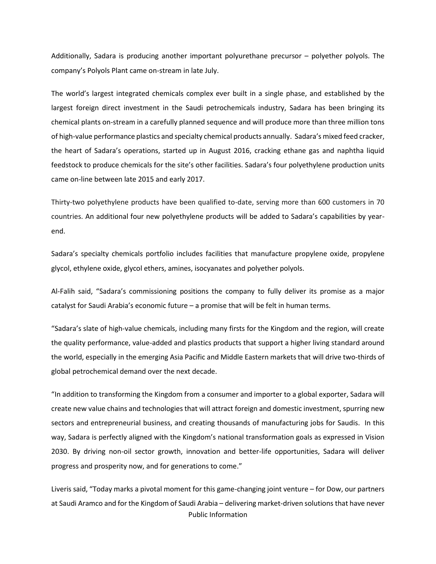Additionally, Sadara is producing another important polyurethane precursor – polyether polyols. The company's Polyols Plant came on-stream in late July.

The world's largest integrated chemicals complex ever built in a single phase, and established by the largest foreign direct investment in the Saudi petrochemicals industry, Sadara has been bringing its chemical plants on-stream in a carefully planned sequence and will produce more than three million tons of high-value performance plastics and specialty chemical products annually. Sadara's mixed feed cracker, the heart of Sadara's operations, started up in August 2016, cracking ethane gas and naphtha liquid feedstock to produce chemicals for the site's other facilities. Sadara's four polyethylene production units came on-line between late 2015 and early 2017.

Thirty-two polyethylene products have been qualified to-date, serving more than 600 customers in 70 countries. An additional four new polyethylene products will be added to Sadara's capabilities by yearend.

Sadara's specialty chemicals portfolio includes facilities that manufacture propylene oxide, propylene glycol, ethylene oxide, glycol ethers, amines, isocyanates and polyether polyols.

Al-Falih said, "Sadara's commissioning positions the company to fully deliver its promise as a major catalyst for Saudi Arabia's economic future – a promise that will be felt in human terms.

"Sadara's slate of high-value chemicals, including many firsts for the Kingdom and the region, will create the quality performance, value-added and plastics products that support a higher living standard around the world, especially in the emerging Asia Pacific and Middle Eastern markets that will drive two-thirds of global petrochemical demand over the next decade.

"In addition to transforming the Kingdom from a consumer and importer to a global exporter, Sadara will create new value chains and technologies that will attract foreign and domestic investment, spurring new sectors and entrepreneurial business, and creating thousands of manufacturing jobs for Saudis. In this way, Sadara is perfectly aligned with the Kingdom's national transformation goals as expressed in Vision 2030. By driving non-oil sector growth, innovation and better-life opportunities, Sadara will deliver progress and prosperity now, and for generations to come."

Public Information Liveris said, "Today marks a pivotal moment for this game-changing joint venture – for Dow, our partners at Saudi Aramco and for the Kingdom of Saudi Arabia – delivering market-driven solutions that have never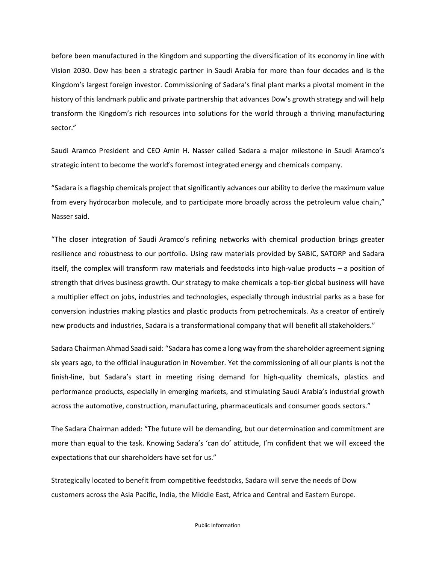before been manufactured in the Kingdom and supporting the diversification of its economy in line with Vision 2030. Dow has been a strategic partner in Saudi Arabia for more than four decades and is the Kingdom's largest foreign investor. Commissioning of Sadara's final plant marks a pivotal moment in the history of this landmark public and private partnership that advances Dow's growth strategy and will help transform the Kingdom's rich resources into solutions for the world through a thriving manufacturing sector."

Saudi Aramco President and CEO Amin H. Nasser called Sadara a major milestone in Saudi Aramco's strategic intent to become the world's foremost integrated energy and chemicals company.

"Sadara is a flagship chemicals project that significantly advances our ability to derive the maximum value from every hydrocarbon molecule, and to participate more broadly across the petroleum value chain," Nasser said.

"The closer integration of Saudi Aramco's refining networks with chemical production brings greater resilience and robustness to our portfolio. Using raw materials provided by SABIC, SATORP and Sadara itself, the complex will transform raw materials and feedstocks into high-value products – a position of strength that drives business growth. Our strategy to make chemicals a top-tier global business will have a multiplier effect on jobs, industries and technologies, especially through industrial parks as a base for conversion industries making plastics and plastic products from petrochemicals. As a creator of entirely new products and industries, Sadara is a transformational company that will benefit all stakeholders."

Sadara Chairman Ahmad Saadi said: "Sadara has come a long way from the shareholder agreement signing six years ago, to the official inauguration in November. Yet the commissioning of all our plants is not the finish-line, but Sadara's start in meeting rising demand for high-quality chemicals, plastics and performance products, especially in emerging markets, and stimulating Saudi Arabia's industrial growth across the automotive, construction, manufacturing, pharmaceuticals and consumer goods sectors."

The Sadara Chairman added: "The future will be demanding, but our determination and commitment are more than equal to the task. Knowing Sadara's 'can do' attitude, I'm confident that we will exceed the expectations that our shareholders have set for us."

Strategically located to benefit from competitive feedstocks, Sadara will serve the needs of Dow customers across the Asia Pacific, India, the Middle East, Africa and Central and Eastern Europe.